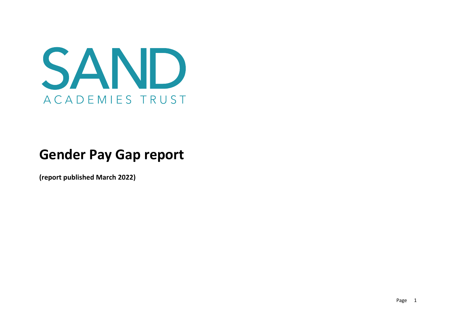

# **Gender Pay Gap report**

**(report published March 2022)**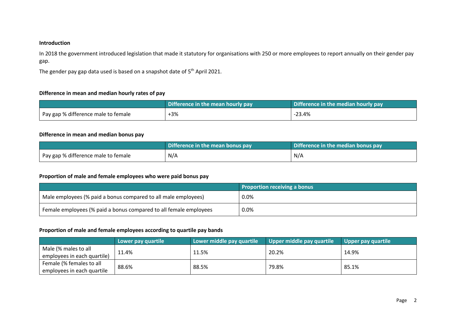### **Introduction**

In 2018 the government introduced legislation that made it statutory for organisations with 250 or more employees to report annually on their gender pay gap.

The gender pay gap data used is based on a snapshot date of 5<sup>th</sup> April 2021.

#### **Difference in mean and median hourly rates of pay**

|                                     | Difference in the mean hourly pay | Difference in the median hourly pay |  |
|-------------------------------------|-----------------------------------|-------------------------------------|--|
| Pay gap % difference male to female | $+3%$                             | $-23.4%$                            |  |

## **Difference in mean and median bonus pay**

|                                     | Difference in the mean bonus pay | Difference in the median bonus pay |  |
|-------------------------------------|----------------------------------|------------------------------------|--|
| Pay gap % difference male to female | N/A                              | N/A                                |  |

#### **Proportion of male and female employees who were paid bonus pay**

|                                                                   | <b>Proportion receiving a bonus</b> |
|-------------------------------------------------------------------|-------------------------------------|
| Male employees (% paid a bonus compared to all male employees)    | $0.0\%$                             |
| Female employees (% paid a bonus compared to all female employees | $0.0\%$                             |

## **Proportion of male and female employees according to quartile pay bands**

|                             | Lower pay quartile | Lower middle pay quartile | Upper middle pay quartile | Upper pay quartile |
|-----------------------------|--------------------|---------------------------|---------------------------|--------------------|
| Male (% males to all        | 11.4%              | 11.5%                     | 20.2%                     | 14.9%              |
| employees in each quartile) |                    |                           |                           |                    |
| Female (% females to all    | 88.6%              | 88.5%                     | 79.8%                     | 85.1%              |
| employees in each quartile  |                    |                           |                           |                    |